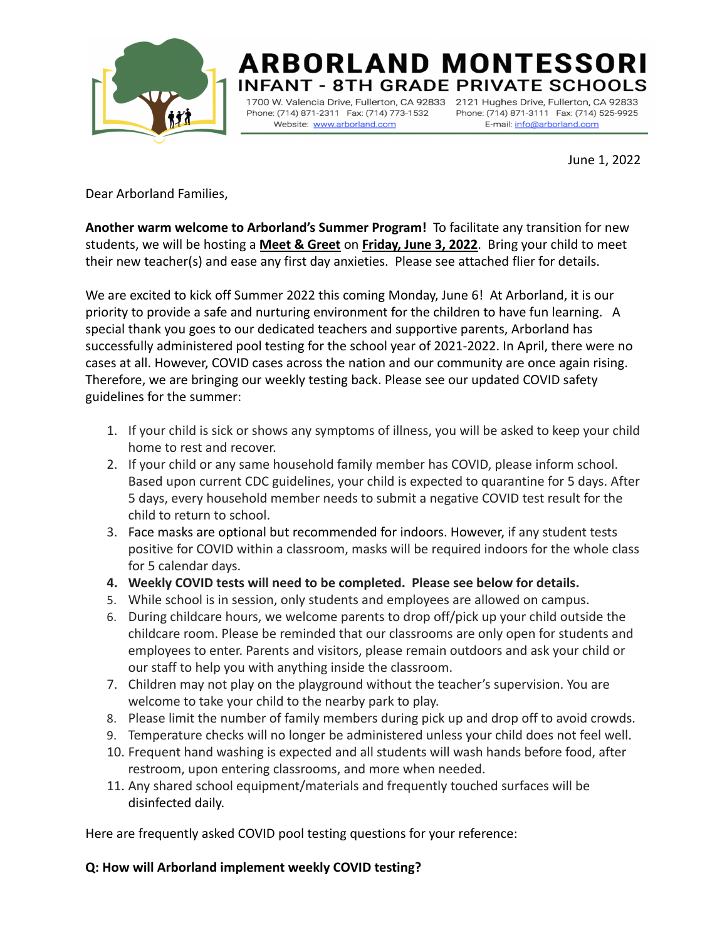

# **ARBORLAND MONTESSORI** ANT - 8TH GRADE PRIVATE SCHOOLS

1700 W. Valencia Drive, Fullerton, CA 92833 2121 Hughes Drive, Fullerton, CA 92833 Phone: (714) 871-2311 Fax: (714) 773-1532 Website: www.arborland.com

Phone: (714) 871-3111 Fax: (714) 525-9925 E-mail: info@arborland.com

June 1, 2022

Dear Arborland Families,

**Another warm welcome to Arborland's Summer Program!** To facilitate any transition for new students, we will be hosting a **Meet & Greet** on **Friday, June 3, 2022**. Bring your child to meet their new teacher(s) and ease any first day anxieties. Please see attached flier for details.

We are excited to kick off Summer 2022 this coming Monday, June 6! At Arborland, it is our priority to provide a safe and nurturing environment for the children to have fun learning. A special thank you goes to our dedicated teachers and supportive parents, Arborland has successfully administered pool testing for the school year of 2021-2022. In April, there were no cases at all. However, COVID cases across the nation and our community are once again rising. Therefore, we are bringing our weekly testing back. Please see our updated COVID safety guidelines for the summer:

- 1. If your child is sick or shows any symptoms of illness, you will be asked to keep your child home to rest and recover.
- 2. If your child or any same household family member has COVID, please inform school. Based upon current CDC guidelines, your child is expected to quarantine for 5 days. After 5 days, every household member needs to submit a negative COVID test result for the child to return to school.
- 3. Face masks are optional but recommended for indoors. However, if any student tests positive for COVID within a classroom, masks will be required indoors for the whole class for 5 calendar days.
- **4. Weekly COVID tests will need to be completed. Please see below for details.**
- 5. While school is in session, only students and employees are allowed on campus.
- 6. During childcare hours, we welcome parents to drop off/pick up your child outside the childcare room. Please be reminded that our classrooms are only open for students and employees to enter. Parents and visitors, please remain outdoors and ask your child or our staff to help you with anything inside the classroom.
- 7. Children may not play on the playground without the teacher's supervision. You are welcome to take your child to the nearby park to play.
- 8. Please limit the number of family members during pick up and drop off to avoid crowds.
- 9. Temperature checks will no longer be administered unless your child does not feel well.
- 10. Frequent hand washing is expected and all students will wash hands before food, after restroom, upon entering classrooms, and more when needed.
- 11. Any shared school equipment/materials and frequently touched surfaces will be disinfected daily.

Here are frequently asked COVID pool testing questions for your reference:

## **Q: How will Arborland implement weekly COVID testing?**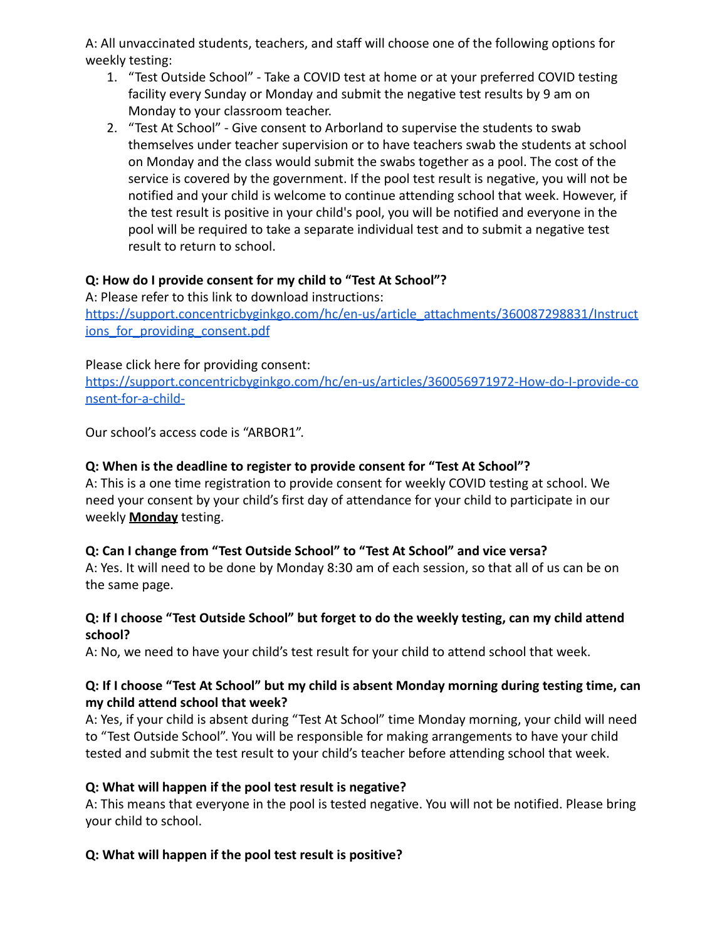A: All unvaccinated students, teachers, and staff will choose one of the following options for weekly testing:

- 1. "Test Outside School" Take a COVID test at home or at your preferred COVID testing facility every Sunday or Monday and submit the negative test results by 9 am on Monday to your classroom teacher.
- 2. "Test At School" Give consent to Arborland to supervise the students to swab themselves under teacher supervision or to have teachers swab the students at school on Monday and the class would submit the swabs together as a pool. The cost of the service is covered by the government. If the pool test result is negative, you will not be notified and your child is welcome to continue attending school that week. However, if the test result is positive in your child's pool, you will be notified and everyone in the pool will be required to take a separate individual test and to submit a negative test result to return to school.

## **Q: How do I provide consent for my child to "Test At School"?**

A: Please refer to this link to download instructions: [https://support.concentricbyginkgo.com/hc/en-us/article\\_attachments/360087298831/Instruct](https://support.concentricbyginkgo.com/hc/en-us/article_attachments/360087298831/Instructions_for_providing_consent.pdf) ions for providing consent.pdf

## Please click here for providing consent:

[https://support.concentricbyginkgo.com/hc/en-us/articles/360056971972-How-do-I-provide-co](https://support.concentricbyginkgo.com/hc/en-us/articles/360056971972-How-do-I-provide-consent-for-a-child-) [nsent-for-a-child-](https://support.concentricbyginkgo.com/hc/en-us/articles/360056971972-How-do-I-provide-consent-for-a-child-)

Our school's access code is "ARBOR1".

# **Q: When is the deadline to register to provide consent for "Test At School"?**

A: This is a one time registration to provide consent for weekly COVID testing at school. We need your consent by your child's first day of attendance for your child to participate in our weekly **Monday** testing.

## **Q: Can I change from "Test Outside School" to "Test At School" and vice versa?**

A: Yes. It will need to be done by Monday 8:30 am of each session, so that all of us can be on the same page.

## **Q: If I choose "Test Outside School" but forget to do the weekly testing, can my child attend school?**

A: No, we need to have your child's test result for your child to attend school that week.

## **Q: If I choose "Test At School" but my child is absent Monday morning during testing time, can my child attend school that week?**

A: Yes, if your child is absent during "Test At School" time Monday morning, your child will need to "Test Outside School". You will be responsible for making arrangements to have your child tested and submit the test result to your child's teacher before attending school that week.

## **Q: What will happen if the pool test result is negative?**

A: This means that everyone in the pool is tested negative. You will not be notified. Please bring your child to school.

# **Q: What will happen if the pool test result is positive?**